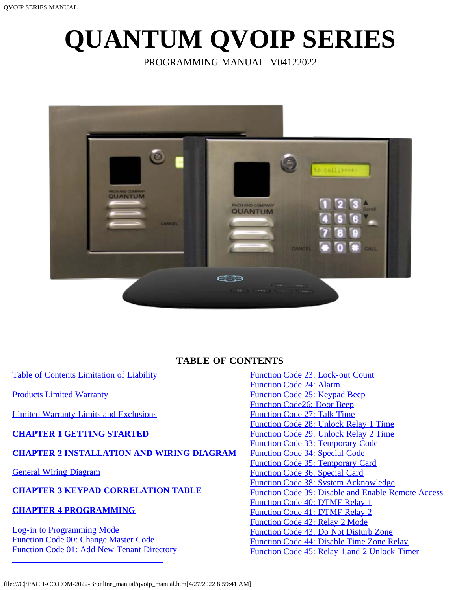# <span id="page-0-0"></span>**QUANTUM QVOIP SERIES**

PROGRAMMING MANUAL V04122022



# **TABLE OF CONTENTS**

<span id="page-0-1"></span>[Table of Contents](file:///C|/PACH-CO.COM-2022-B/online_manual/qc_series_manual.htm) [Limitation of Liability](#page-1-0)

[Products Limited Warranty](#page-1-1)

[Limited Warranty Limits and Exclusions](#page-2-0)

#### **[CHAPTER 1 GETTING STARTED](#page-2-1)**

#### **[CHAPTER 2 INSTALLATION AND WIRING DIAGRAM](#page-3-0)**

[General Wiring Diagram](#page-3-0)

# **[CHAPTER 3 KEYPAD CORRELATION TABLE](#page-5-0)**

#### **[CHAPTER 4 PROGRAMMING](#page-5-1)**

[Log-in to Programming Mode](#page-5-2) [Function Code 00: Change Master Code](#page-5-3) [Function Code 01: Add New Tenant Directory](#page-6-0) [Function Code 23: Lock-out Count](#page-17-0) [Function Code 24: Alarm](#page-18-0) [Function Code 25: Keypad Beep](#page-18-1) [Function Code26: Door Beep](#page-18-2) [Function Code 27: Talk Time](#page-18-3) [Function Code 28: Unlock Relay 1 Time](#page-19-0) [Function Code 29: Unlock Relay 2 Time](#page-19-1) [Function Code 33: Temporary Code](#page-19-2) [Function Code 34: Special Code](#page-21-0) [Function Code 35: Temporary Card](#page-22-0) [Function Code 36: Special Card](#page-23-0) [Function Code 38: System Acknowledge](#page-24-0) [Function Code 39: Disable and Enable Remote Access](#page-25-0) [Function Code 40: DTMF Relay 1](#page-25-1) [Function Code 41: DTMF Relay 2](#page-25-2) [Function Code 42: Relay 2 Mode](#page-26-0) [Function Code 43: Do Not Disturb Zone](#page-26-1) [Function Code 44: Disable Time Zone Relay](#page-27-0) [Function Code 45: Relay 1 and 2 Unlock Timer](#page-28-0)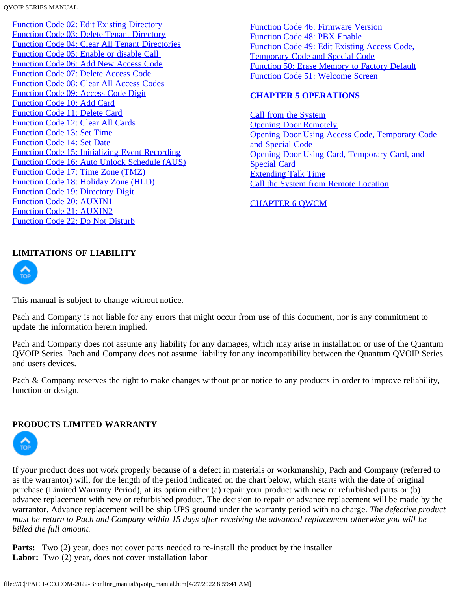[Function Code 02: Edit Existing Directory](#page-6-1) [Function Code 03: Delete Tenant Directory](#page-7-0) [Function Code 04: Clear All Tenant Directories](#page-7-1) [Function Code 05: Enable or disable Call](#page-8-0)  [Function Code 06: Add New Access Code](#page-8-1) [Function Code 07: Delete Access Code](#page-9-0) [Function Code 08: Clear All Access Codes](#page-9-1) [Function Code 09: Access Code Digit](#page-10-0) [Function Code 10: Add Card](#page-0-0) [Function Code 11: Delete Card](#page-11-0) [Function Code 12: Clear All Cards](#page-12-0) [Function Code 13: Set Time](#page-12-1) [Function Code 14: Set Date](#page-12-2) [Function Code 15: Initializing Event Recording](#page-13-0) [Function Code 16: Auto Unlock Schedule \(AUS\)](#page-13-1) [Function Code 17: Time Zone \(TMZ\)](#page-14-0) [Function Code 18: Holiday Zone \(HLD\)](#page-15-0) [Function Code 19: Directory Digit](#page-16-0) [Function Code 20: AUXIN1](#page-16-1) [Function Code 21: AUXIN2](#page-16-2) [Function Code 22: Do Not Disturb](#page-17-1)

[Function Code 46: Firmware Version](#page-28-1) [Function Code 48: PBX Enable](#page-28-2) [Function Code 49: Edit Existing Access Code,](#page-29-0) [Temporary Code and Special Code](#page-29-0) [Function 50: Erase Memory to Factory Default](#page-29-1) [Function Code 51: Welcome Screen](#page-30-0)

#### **[CHAPTER 5 OPERATIONS](#page-30-1)**

[Call from the System](#page-30-2) [Opening Door Remotely](#page-30-3) [Opening Door Using Access Code, Temporary Code](#page-31-0) [and Special Code](#page-31-0) [Opening Door Using Card, Temporary Card, and](#page-31-1) [Special Card](#page-31-1) [Extending Talk Time](#page-31-2) [Call the System from Remote Location](#page-0-0)

# [CHAPTER 6 QWCM](#page-32-0)

#### <span id="page-1-0"></span>**LIMITATIONS OF LIABILITY**



This manual is subject to change without notice.

Pach and Company is not liable for any errors that might occur from use of this document, nor is any commitment to update the information herein implied.

Pach and Company does not assume any liability for any damages, which may arise in installation or use of the Quantum QVOIP Series Pach and Company does not assume liability for any incompatibility between the Quantum QVOIP Series and users devices.

Pach & Company reserves the right to make changes without prior notice to any products in order to improve reliability, function or design.

#### <span id="page-1-1"></span>**PRODUCTS LIMITED WARRANTY**



If your product does not work properly because of a defect in materials or workmanship, Pach and Company (referred to as the warrantor) will, for the length of the period indicated on the chart below, which starts with the date of original purchase (Limited Warranty Period), at its option either (a) repair your product with new or refurbished parts or (b) advance replacement with new or refurbished product. The decision to repair or advance replacement will be made by the warrantor. Advance replacement will be ship UPS ground under the warranty period with no charge. *The defective product must be return to Pach and Company within 15 days after receiving the advanced replacement otherwise you will be billed the full amount.*

**Parts:** Two (2) year, does not cover parts needed to re-install the product by the installer Labor: Two (2) year, does not cover installation labor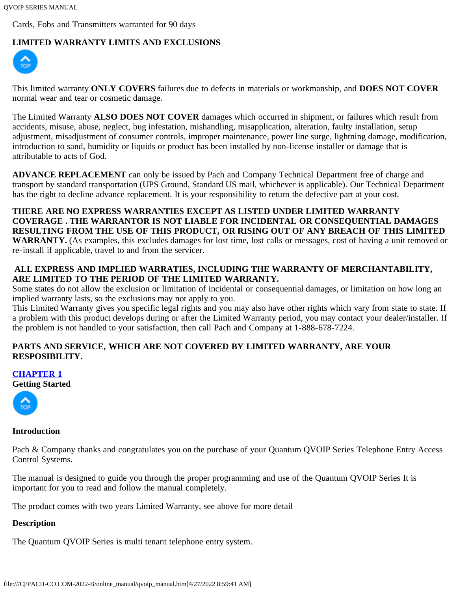Cards, Fobs and Transmitters warranted for 90 days

# <span id="page-2-0"></span>**LIMITED WARRANTY LIMITS AND EXCLUSIONS**



This limited warranty **ONLY COVERS** failures due to defects in materials or workmanship, and **DOES NOT COVER** normal wear and tear or cosmetic damage.

The Limited Warranty **ALSO DOES NOT COVER** damages which occurred in shipment, or failures which result from accidents, misuse, abuse, neglect, bug infestation, mishandling, misapplication, alteration, faulty installation, setup adjustment, misadjustment of consumer controls, improper maintenance, power line surge, lightning damage, modification, introduction to sand, humidity or liquids or product has been installed by non-license installer or damage that is attributable to acts of God.

**ADVANCE REPLACEMENT** can only be issued by Pach and Company Technical Department free of charge and transport by standard transportation (UPS Ground, Standard US mail, whichever is applicable). Our Technical Department has the right to decline advance replacement. It is your responsibility to return the defective part at your cost.

**THERE ARE NO EXPRESS WARRANTIES EXCEPT AS LISTED UNDER LIMITED WARRANTY COVERAGE . THE WARRANTOR IS NOT LIABLE FOR INCIDENTAL OR CONSEQUENTIAL DAMAGES RESULTING FROM THE USE OF THIS PRODUCT, OR RISING OUT OF ANY BREACH OF THIS LIMITED WARRANTY.** (As examples, this excludes damages for lost time, lost calls or messages, cost of having a unit removed or re-install if applicable, travel to and from the servicer.

# **ALL EXPRESS AND IMPLIED WARRATIES, INCLUDING THE WARRANTY OF MERCHANTABILITY, ARE LIMITED TO THE PERIOD OF THE LIMITED WARRANTY.**

Some states do not allow the exclusion or limitation of incidental or consequential damages, or limitation on how long an implied warranty lasts, so the exclusions may not apply to you.

This Limited Warranty gives you specific legal rights and you may also have other rights which vary from state to state. If a problem with this product develops during or after the Limited Warranty period, you may contact your dealer/installer. If the problem is not handled to your satisfaction, then call Pach and Company at 1-888-678-7224.

# **PARTS AND SERVICE, WHICH ARE NOT COVERED BY LIMITED WARRANTY, ARE YOUR RESPOSIBILITY.**

#### <span id="page-2-1"></span>**[CHAPTER 1](#page-0-0)**

**[Getting](#page-0-1) Started**



#### **Introduction**

Pach & Company thanks and congratulates you on the purchase of your Quantum QVOIP Series Telephone Entry Access Control Systems.

The manual is designed to guide you through the proper programming and use of the Quantum QVOIP Series It is important for you to read and follow the manual completely.

The product comes with two years Limited Warranty, see above for more detail

#### **Description**

The Quantum QVOIP Series is multi tenant telephone entry system.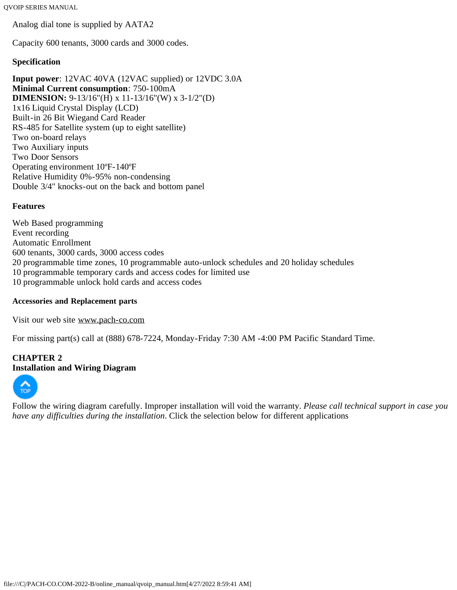Analog dial tone is supplied by AATA2

Capacity 600 tenants, 3000 cards and 3000 codes.

#### **Specification**

**Input power**: 12VAC 40VA (12VAC supplied) or 12VDC 3.0A **Minimal Current consumption**: 750-100mA **DIMENSION:** 9-13/16"(H) x 11-13/16"(W) x 3-1/2"(D) 1x16 Liquid Crystal Display (LCD) Built-in 26 Bit Wiegand Card Reader RS-485 for Satellite system (up to eight satellite) Two on-board relays Two Auxiliary inputs Two Door Sensors Operating environment 10ºF-140ºF Relative Humidity 0%-95% non-condensing Double 3/4" knocks-out on the back and bottom panel

#### **Features**

Web Based programming Event recording Automatic Enrollment 600 tenants, 3000 cards, 3000 access codes 20 programmable time zones, 10 programmable auto-unlock schedules and 20 holiday schedules 10 programmable temporary cards and access codes for limited use 10 programmable unlock hold cards and access codes

#### **Accessories and Replacement parts**

Visit our web site [www.pach-co.com](http://www.pach-co.com/)

For missing part(s) call at (888) 678-7224, Monday-Friday 7:30 AM -4:00 PM Pacific Standard Time.

# <span id="page-3-0"></span>**CHAPTER 2 [Installa](#page-0-1)tion and Wiring Diagram**



Follow the wiring diagram carefully. Improper installation will void the warranty. *Please call technical support in case you have any difficulties during the installation*. Click the selection below for different applications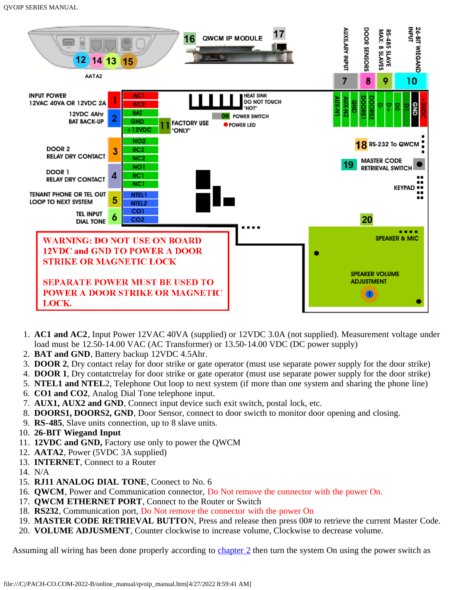

- 1. **AC1 and AC2**, Input Power 12VAC 40VA (supplied) or 12VDC 3.0A (not supplied). Measurement voltage under load must be 12.50-14.00 VAC (AC Transformer) or 13.50-14.00 VDC (DC power supply)
- 2. **BAT and GND**, Battery backup 12VDC 4.5Ahr.
- 3. **DOOR 2**, Dry contact relay for door strike or gate operator (must use separate power supply for the door strike)
- 4. **DOOR 1**, Dry contatctrelay for door strike or gate operator (must use separate power supply for the door strike)
- 5. **NTEL1 and NTEL**2, Telephone Out loop to next system (if more than one system and sharing the phone line)
- 6. **CO1 and CO2**, Analog Dial Tone telephone input.
- 7. **AUX1, AUX2 and GND**, Connect input device such exit switch, postal lock, etc.
- 8. **DOORS1, DOORS2, GND**, Door Sensor, connect to door swicth to monitor door opening and closing.
- 9. **RS-485**, Slave units connection, up to 8 slave units.
- 10. **26-BIT Wiegand Input**
- 11. **12VDC and GND,** Factory use only to power the QWCM
- 12. **AATA2**, Power (5VDC 3A supplied)
- 13. **INTERNET**, Connect to a Router
- 14. N/A
- 15. **RJ11 ANALOG DIAL TONE**, Coonect to No. 6
- 16. **QWCM**, Power and Communication connector, Do Not remove the connector with the power On.
- 17. **QWCM ETHERNET PORT**, Connect to the Router or Switch
- 18. **RS232**, Communication port, Do Not remove the connector with the power On
- 19. **MASTER CODE RETRIEVAL BUTTO**N, Press and release then press 00# to retrieve the current Master Code.
- 20. **VOLUME ADJUSMENT**, Counter clockwise to increase volume, Clockwise to decrease volume.

Assuming all wiring has been done properly according to [chapter 2](#page-3-0) then turn the system On using the power switch as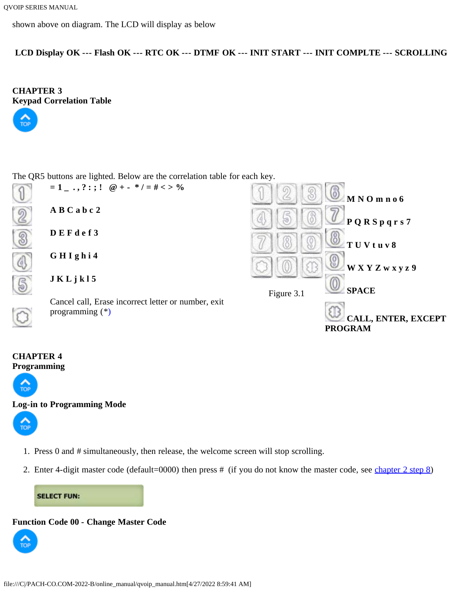```
QVOIP SERIES MANUAL
```
shown above on diagram. The LCD will display as below

**LCD Display OK --- Flash OK --- RTC OK --- DTMF OK --- INIT START --- INIT COMPLTE --- SCROLLING**

<span id="page-5-0"></span>**CHAPTER 3 [Keypad](#page-0-1) Correlation Table**



The QR5 buttons are lighted. Below are the correlation table for each key.



# <span id="page-5-1"></span>**CHAPTER 4 [Program](#page-0-1)ming**



#### <span id="page-5-2"></span>**[Log-in](#page-0-1) to Programming Mode**



- 1. Press 0 and # simultaneously, then release, the welcome screen will stop scrolling.
- 2. Enter 4-digit master code (default=0000) then press # (if you do not know the master code, see [chapter 2 step 8\)](#page-3-0)

**SELECT FUN:** 

#### <span id="page-5-3"></span>**Function Code 00 - Change Master Code**

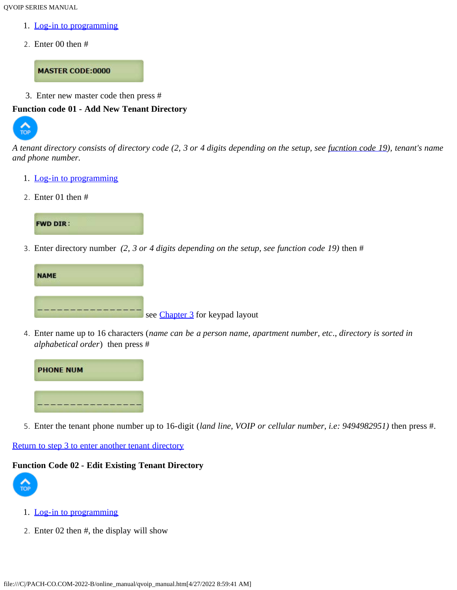- 1. [Log-in to programming](#page-5-2)
- 2. Enter 00 then #

**MASTER CODE:0000** 

3. Enter new master code then press #

#### <span id="page-6-0"></span>**[Functio](#page-0-1)n code 01 - Add New Tenant Directory**



*A tenant directory consists of directory code (2, 3 or 4 digits depending on the setup, see [fucntion code 19\)](#page-16-0), tenant's name and phone number.*

- 1. [Log-in to programming](#page-5-2)
- 2. Enter 01 then #



<span id="page-6-2"></span>3. Enter directory number *(2, 3 or 4 digits depending on the setup, see function code 19)* then #



4. Enter name up to 16 characters (*name can be a person name, apartment number, etc*., *directory is sorted in alphabetical order*) then press #



5. Enter the tenant phone number up to 16-digit (*land line, VOIP or cellular number, i.e: 9494982951)* then press #.

# [Return to step 3 to enter another tenant directory](#page-6-2)

#### <span id="page-6-1"></span>**[Functio](#page-0-1)n Code 02 - Edit Existing Tenant Directory**



- 1. [Log-in to programming](#page-5-2)
- 2. Enter 02 then #, the display will show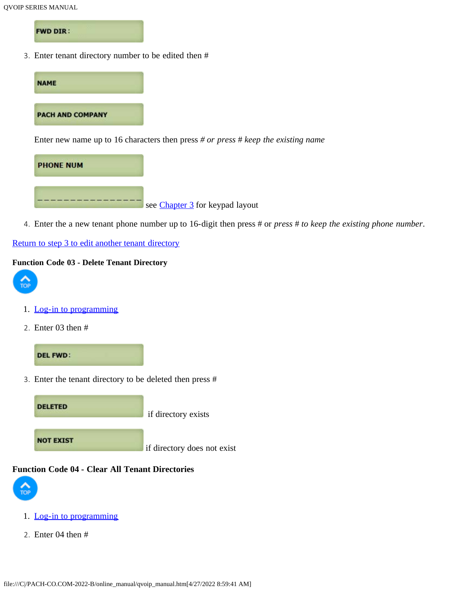**FWD DIR:** 

3. Enter tenant directory number to be edited then #



see [Chapter 3](#page-5-0) for keypad layout

4. Enter the a new tenant phone number up to 16-digit then press # or *press* # *to keep the existing phone number*.

[Return to step 3 to edit another tenant directory](#page-0-0)

#### <span id="page-7-0"></span>**Function Code 03 - Delete Tenant Directory**



- 1. [Log-in to programming](#page-5-2)
- 2. Enter 03 then #



3. Enter the tenant directory to be deleted then press #

**DELETED** if directory exists **NOT EXIST** if directory does not exist

#### <span id="page-7-1"></span>**Function Code 04 - Clear All Tenant Directories**



- 1. [Log-in to programming](#page-5-2)
- 2. Enter 04 then #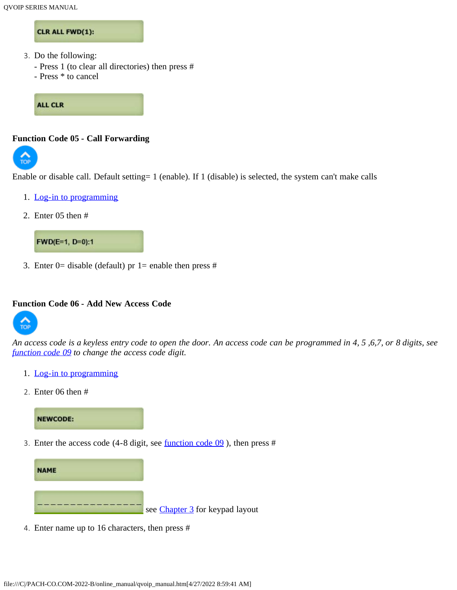#### CLR ALL FWD(1):

- 3. Do the following:
	- Press 1 (to clear all directories) then press #
	- Press \* to cancel

**ALL CLR** 

#### <span id="page-8-0"></span>**Function Code 05 - Call Forwarding**



Enable or disable call. Default setting= 1 (enable). If 1 (disable) is selected, the system can't make calls

- 1. [Log-in to programming](#page-5-2)
- 2. Enter 05 then #



3. Enter 0= disable (default) pr 1= enable then press  $#$ 

#### <span id="page-8-1"></span>**Function Code 06 - Add New Access Code**



*An access code is a keyless entry code to open the door. An access code can be programmed in 4, 5 ,6,7, or 8 digits, see [function code 09](#page-10-0) to change the access code digit.*

- 1. [Log-in to programming](#page-5-2)
- 2. Enter 06 then #

# **NEWCODE:**

<span id="page-8-2"></span>3. Enter the access code (4-8 digit, see [function code 09](#page-10-0) ), then press #



4. Enter name up to 16 characters, then press #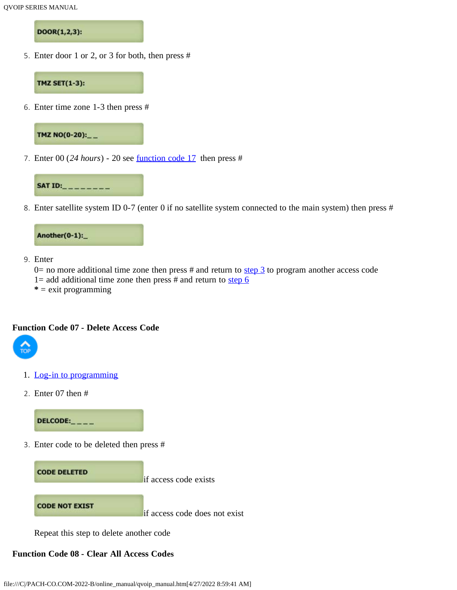DOOR(1,2,3):

5. Enter door 1 or 2, or 3 for both, then press #



<span id="page-9-2"></span>6. Enter time zone 1-3 then press #



7. Enter 00 (*24 hours*) - 20 see [function code 17](#page-14-0) then press #



8. Enter satellite system ID 0-7 (enter 0 if no satellite system connected to the main system) then press #



9. Enter

 $0=$  no more additional time zone then press # and return to [step 3](#page-8-2) to program another access code 1= add additional time zone then press  $#$  and return to [step 6](#page-9-2)

**\*** = exit programming

#### <span id="page-9-0"></span>**Function Code 07 - Delete Access Code**



- 1. [Log-in to programming](#page-5-2)
- 2. Enter 07 then #

 $DELCODE:_{---}$ 

3. Enter code to be deleted then press #



Repeat this step to delete another code

# <span id="page-9-1"></span>**Function Code 08 - Clear All Access Codes**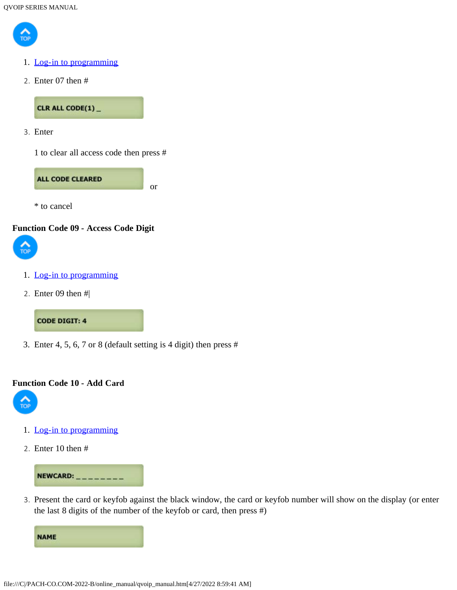

- 1. [Log-in to programming](#page-5-2)
- 2. Enter 07 then #

CLR ALL CODE(1)\_

3. Enter

1 to clear all access code then press #



\* to cancel

#### <span id="page-10-0"></span>**Function Code 09 - Access Code Digit**



- 1. [Log-in to programming](#page-5-2)
- 2. Enter 09 then #|

#### **CODE DIGIT: 4**

3. Enter 4, 5, 6, 7 or 8 (default setting is 4 digit) then press #

#### **Function Code 10 - Add Card**



- 1. [Log-in to programming](#page-5-2)
- 2. Enter 10 then #



3. Present the card or keyfob against the black window, the card or keyfob number will show on the display (or enter the last 8 digits of the number of the keyfob or card, then press #)

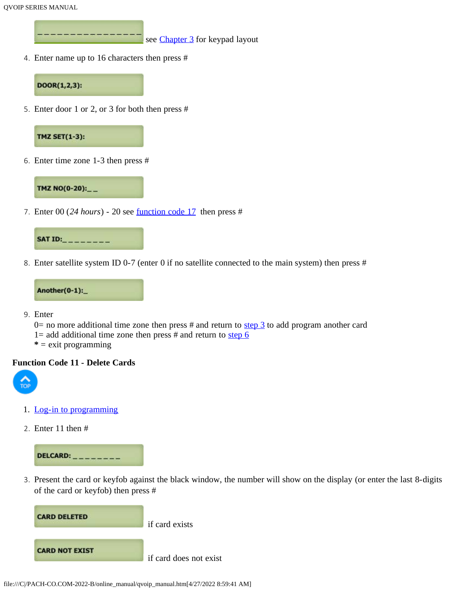see [Chapter 3](#page-5-0) for keypad layout

4. Enter name up to 16 characters then press #



5. Enter door 1 or 2, or 3 for both then press #



6. Enter time zone 1-3 then press #



7. Enter 00 (*24 hours*) - 20 see [function code 17](#page-14-0) then press #



8. Enter satellite system ID 0-7 (enter 0 if no satellite connected to the main system) then press #



- 9. Enter
	- 0= no more additional time zone then press # and return to  $\frac{\text{step 3}}{\text{step 3}}$  to add program another card
	- 1= add additional time zone then press  $#$  and return to [step 6](#page-9-2)
	- **\*** = exit programming

#### <span id="page-11-0"></span>**Function Code 11 - Delete Cards**



- 1. [Log-in to programming](#page-5-2)
- 2. Enter 11 then #



3. Present the card or keyfob against the black window, the number will show on the display (or enter the last 8-digits of the card or keyfob) then press #

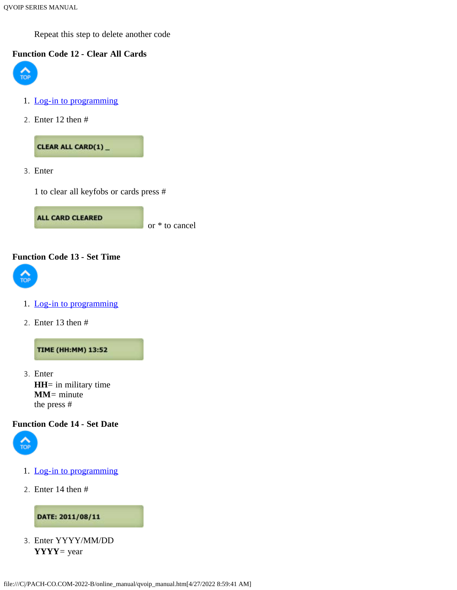Repeat this step to delete another code

# <span id="page-12-0"></span>**[Functio](#page-0-1)n Code 12 - Clear All Cards**



- 1. [Log-in to programming](#page-5-2)
- 2. Enter 12 then #

CLEAR ALL CARD(1)\_

3. Enter

1 to clear all keyfobs or cards press #

**ALL CARD CLEARED** or \* to cancel

#### <span id="page-12-1"></span>**Function Code 13 - Set Time**



- 1. [Log-in to programming](#page-5-2)
- 2. Enter 13 then #

**TIME (HH:MM) 13:52** 

3. Enter **HH**= in military time **MM**= minute the press #

#### <span id="page-12-2"></span>**Function Code 14 - Set Date**



- 1. [Log-in to programming](#page-5-2)
- 2. Enter 14 then #

#### DATE: 2011/08/11

3. Enter YYYY/MM/DD **YYYY**= year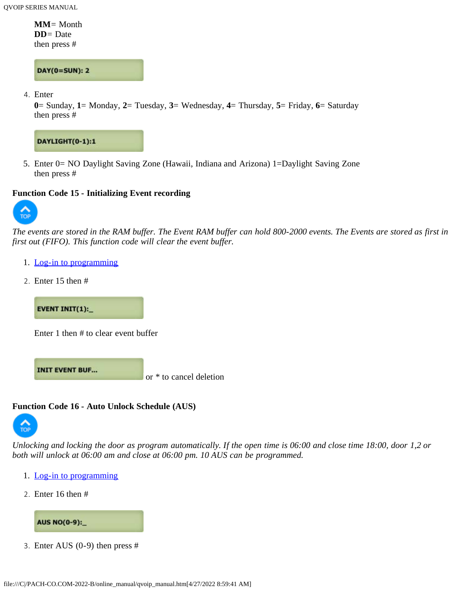**MM**= Month **DD**= Date then press #

**DAY(0=SUN): 2** 

4. Enter

**0**= Sunday, **1**= Monday, **2**= Tuesday, **3**= Wednesday, **4**= Thursday, **5**= Friday, **6**= Saturday then press #



5. Enter 0= NO Daylight Saving Zone (Hawaii, Indiana and Arizona) 1=Daylight Saving Zone then press #

#### <span id="page-13-0"></span>**Function Code 15 - Initializing Event recording**



*The events are stored in the RAM buffer. The Event RAM buffer can hold 800-2000 events. The Events are stored as first in first out (FIFO). This function code will clear the event buffer.*

- 1. [Log-in to programming](#page-5-2)
- 2. Enter 15 then #

**EVENT INIT(1):** 

Enter 1 then # to clear event buffer

**INIT EVENT BUF...** 

or \* to cancel deletion

#### <span id="page-13-1"></span>**[Functio](#page-0-1)n Code 16 - Auto Unlock Schedule (AUS)**



*Unlocking and locking the door as program automatically. If the open time is 06:00 and close time 18:00, door 1,2 or both will unlock at 06:00 am and close at 06:00 pm. 10 AUS can be programmed.*

- 1. [Log-in to programming](#page-5-2)
- 2. Enter 16 then #



3. Enter AUS (0-9) then press #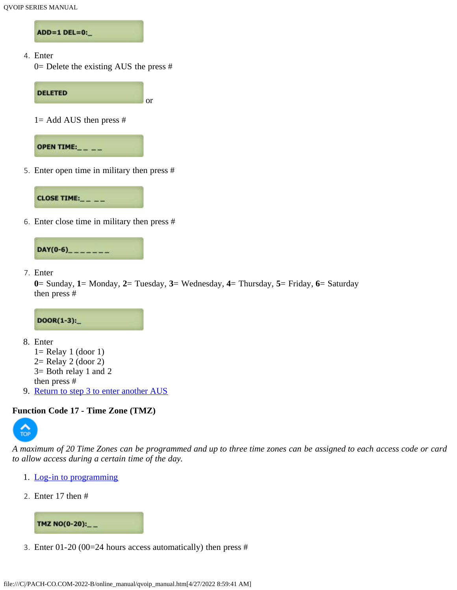ADD=1 DEL=0:

4. Enter

0= Delete the existing AUS the press #



5. Enter open time in military then press #



6. Enter close time in military then press #



7. Enter

```
0= Sunday, 1= Monday, 2= Tuesday, 3= Wednesday, 4= Thursday, 5= Friday, 6= Saturday
then press #
```
 $DOOR(1-3):$ 

- 8. Enter
	- $1=$  Relay 1 (door 1) 2= Relay 2 (door 2) 3= Both relay 1 and 2
	- then press #
- 9. [Return to step 3 to enter another AUS](#page-0-0)

#### <span id="page-14-0"></span>**[Functio](#page-0-1)n Code 17 - Time Zone (TMZ)**



*A maximum of 20 Time Zones can be programmed and up to three time zones can be assigned to each access code or card to allow access during a certain time of the day.*

- 1. [Log-in to programming](#page-5-2)
- 2. Enter 17 then #



3. Enter 01-20 (00=24 hours access automatically) then press #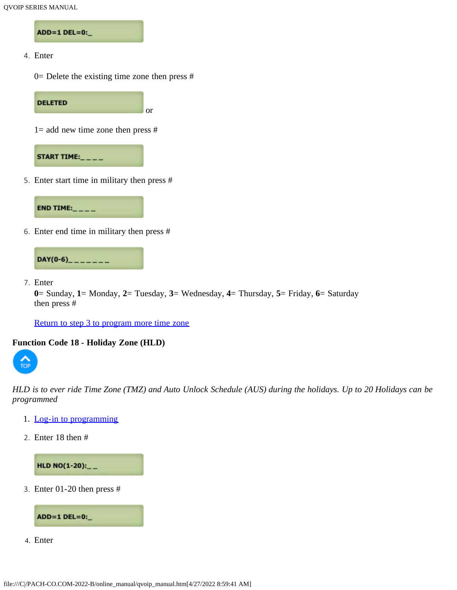ADD=1 DEL=0:\_

4. Enter

 $0=$  Delete the existing time zone then press #

**DELETED** or

 $1=$  add new time zone then press #



5. Enter start time in military then press #



6. Enter end time in military then press #



7. Enter

**0**= Sunday, **1**= Monday, **2**= Tuesday, **3**= Wednesday, **4**= Thursday, **5**= Friday, **6**= Saturday then press #

[Return to step 3 to program more time zone](#page-0-0)

#### <span id="page-15-0"></span>**Function Code 18 - Holiday Zone (HLD)**



*HLD is to ever ride Time Zone (TMZ) and Auto Unlock Schedule (AUS) during the holidays. Up to 20 Holidays can be programmed*

- 1. [Log-in to programming](#page-5-2)
- 2. Enter 18 then #

HLD NO(1-20):\_\_

<span id="page-15-1"></span>3. Enter 01-20 then press #



4. Enter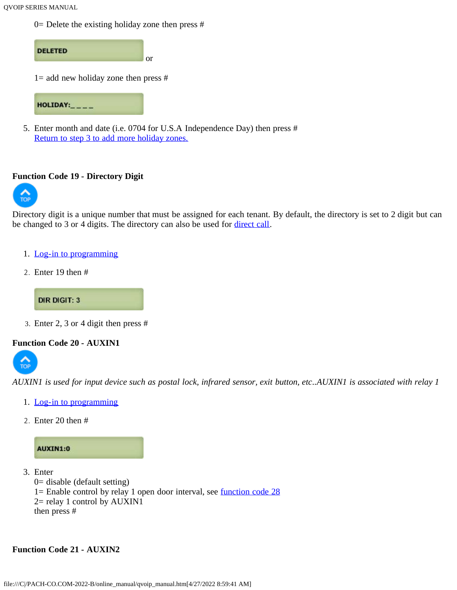$0=$  Delete the existing holiday zone then press #



5. Enter month and date (i.e. 0704 for U.S.A Independence Day) then press # [Return to step 3 to add more holiday zones.](#page-15-1)

#### <span id="page-16-0"></span>**[Functio](#page-0-1)n Code 19 - Directory Digit**



Directory digit is a unique number that must be assigned for each tenant. By default, the directory is set to 2 digit but can be changed to 3 or 4 digits. The directory can also be used for [direct call.](#page-30-2)

- 1. [Log-in to programming](#page-5-2)
- 2. Enter 19 then #

**DIR DIGIT: 3** 

3. Enter 2, 3 or 4 digit then press #

#### <span id="page-16-1"></span>**[Functio](#page-0-1)n Code 20 - AUXIN1**



*AUXIN1 is used for input device such as postal lock, infrared sensor, exit button, etc..AUXIN1 is associated with relay 1*

- 1. [Log-in to programming](#page-5-2)
- 2. Enter 20 then #



- 3. Enter
	- 0= disable (default setting)
	- 1= Enable control by relay 1 open door interval, see [function code 28](#page-19-0)
	- 2= relay 1 control by AUXIN1
	- then press #

#### <span id="page-16-2"></span>**Function Code 21 - AUXIN2**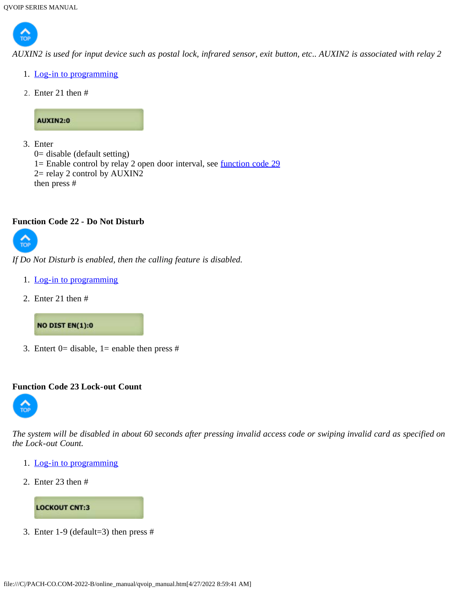

*AUXIN2 is used for input device such as postal lock, infrared sensor, exit button, etc.. AUXIN2 is associated with relay 2*

- 1. [Log-in to programming](#page-5-2)
- 2. Enter 21 then #

# AUXIN2:0

```
3. Enter
  0= disable (default setting)
  1= Enable control by relay 2 open door interval, see function code 29
  2= relay 2 control by AUXIN2
  then press #
```
#### <span id="page-17-1"></span>**Function Code 22 - Do Not Disturb**



*If Do Not Disturb is enabled, then the calling feature is disabled.*

- 1. [Log-in to programming](#page-5-2)
- 2. Enter 21 then #



3. Entert  $0=$  disable,  $1=$  enable then press #

#### <span id="page-17-0"></span>**Function Code 23 Lock-out Count**



*The system will be disabled in about 60 seconds after pressing invalid access code or swiping invalid card as specified on the Lock-out Count.*

- 1. [Log-in to programming](#page-5-2)
- 2. Enter 23 then #



3. Enter 1-9 (default=3) then press #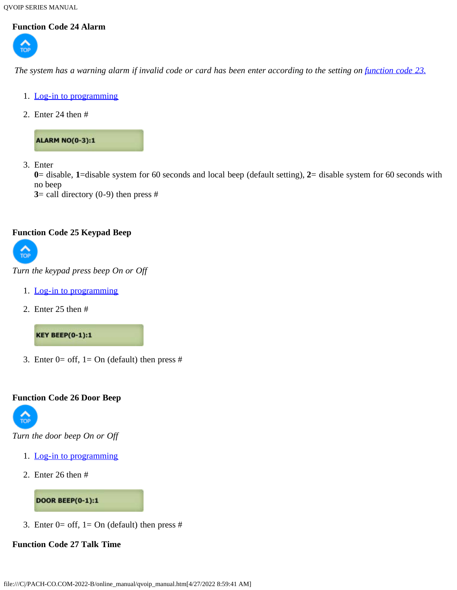# <span id="page-18-0"></span>**Function Code 24 Alarm**



*The system has a warning alarm if invalid code or card has been enter according to the setting on <i>[function code 23.](#page-17-0)* 

- 1. [Log-in to programming](#page-5-2)
- 2. Enter 24 then #

**ALARM NO(0-3):1** 

3. Enter

**0**= disable, **1**=disable system for 60 seconds and local beep (default setting), **2**= disable system for 60 seconds with no beep

**3**= call directory  $(0-9)$  then press #

#### <span id="page-18-1"></span>**Function Code 25 Keypad Beep**



*Turn the keypad press beep On or Off*

- 1. [Log-in to programming](#page-5-2)
- 2. Enter 25 then #

**KEY BEEP(0-1):1** 

3. Enter  $0=$  off,  $1=$  On (default) then press #

#### <span id="page-18-2"></span>**Function Code 26 Door Beep**



*Turn the door beep On or Off*

- 1. [Log-in to programming](#page-5-2)
- 2. Enter 26 then #

**DOOR BEEP(0-1):1** 

3. Enter  $0=$  off,  $1=$  On (default) then press #

#### <span id="page-18-3"></span>**Function Code 27 Talk Time**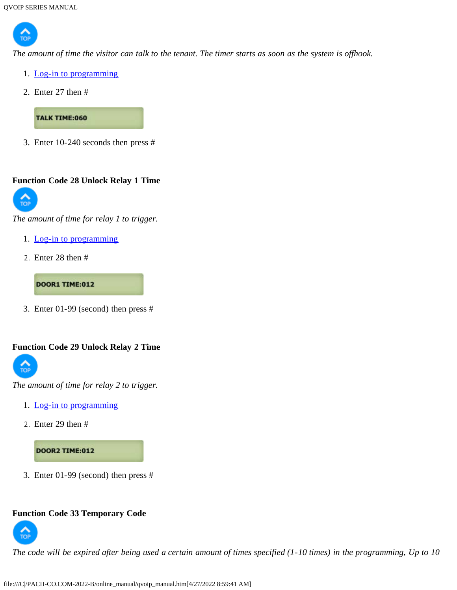

*The amount of time the visitor can talk to the tenant. The timer starts as soon as the system is offhook.*

- 1. [Log-in to programming](#page-5-2)
- 2. Enter 27 then #

**TALK TIME:060** 

3. Enter 10-240 seconds then press #

# <span id="page-19-0"></span>**[Functio](#page-0-1)n Code 28 Unlock Relay 1 Time**



*The amount of time for relay 1 to trigger.*

- 1. [Log-in to programming](#page-5-2)
- 2. Enter 28 then #

**DOOR1 TIME:012** 

3. Enter 01-99 (second) then press #

#### <span id="page-19-1"></span>**Function Code 29 Unlock Relay 2 Time**



*The amount of time for relay 2 to trigger.*

- 1. [Log-in to programming](#page-5-2)
- 2. Enter 29 then #

**DOOR2 TIME:012** 

3. Enter 01-99 (second) then press #

#### <span id="page-19-2"></span>**Function Code 33 Temporary Code**



*The code will be expired after being used a certain amount of times specified (1-10 times) in the programming, Up to 10*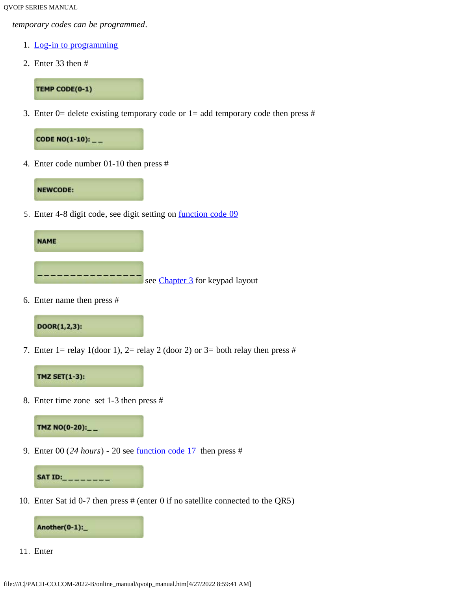*temporary codes can be programmed*.

- 1. [Log-in to programming](#page-5-2)
- 2. Enter 33 then #

TEMP CODE(0-1)

<span id="page-20-0"></span>3. Enter 0= delete existing temporary code or  $1=$  add temporary code then press #



4. Enter code number 01-10 then press #

#### **NEWCODE:**

<span id="page-20-2"></span>5. Enter 4-8 digit code, see digit setting on [function code 09](#page-10-0)



6. Enter name then press #



7. Enter 1= relay 1(door 1), 2= relay 2 (door 2) or 3= both relay then press #



<span id="page-20-1"></span>8. Enter time zone set 1-3 then press #



9. Enter 00 (*24 hours*) - 20 see [function code 17](#page-14-0) then press #



10. Enter Sat id 0-7 then press # (enter 0 if no satellite connected to the QR5)



11. Enter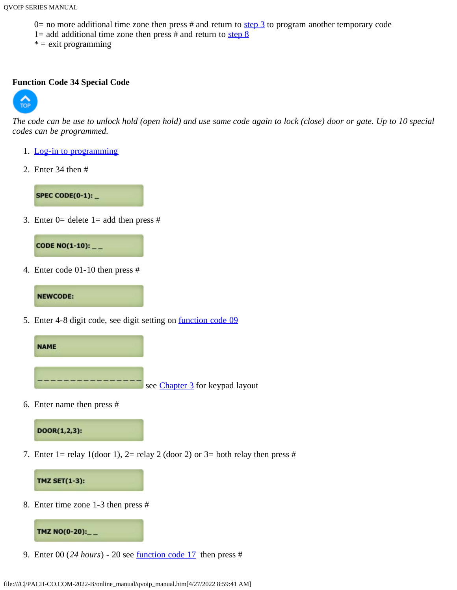- $0=$  no more additional time zone then press # and return to [step 3](#page-20-0) to program another temporary code
- 1= add additional time zone then press  $#$  and return to step  $8$
- $* =$  exit programming

#### <span id="page-21-0"></span>**[Functio](#page-0-1)n Code 34 Special Code**



*The code can be use to unlock hold (open hold) and use same code again to lock (close) door or gate. Up to 10 special codes can be programmed.*

- 1. [Log-in to programming](#page-5-2)
- 2. Enter 34 then #

SPEC CODE(0-1):  $\_$ 

<span id="page-21-1"></span>3. Enter  $0=$  delete  $1=$  add then press #



4. Enter code 01-10 then press #

**NEWCODE:** 

<span id="page-21-3"></span>5. Enter 4-8 digit code, see digit setting on [function code 09](#page-10-0)



6. Enter name then press #

DOOR(1,2,3):

7. Enter 1= relay 1(door 1), 2= relay 2 (door 2) or 3= both relay then press #



<span id="page-21-2"></span>8. Enter time zone 1-3 then press #



9. Enter 00 (*24 hours*) - 20 see [function code 17](#page-14-0) then press #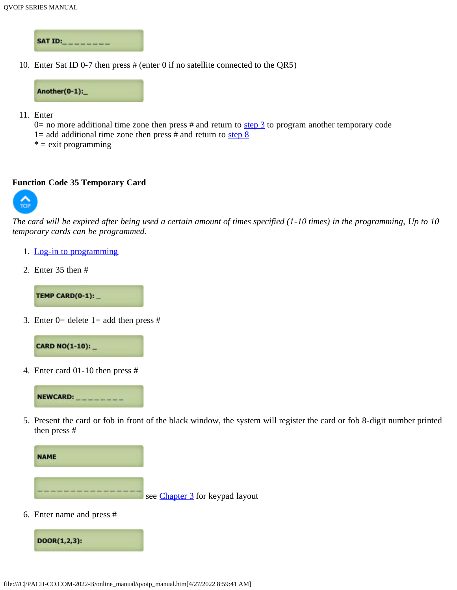

10. Enter Sat ID 0-7 then press # (enter 0 if no satellite connected to the QR5)



11. Enter

 $0=$  no more additional time zone then press # and return to [step 3](#page-21-1) to program another temporary code

- 1= add additional time zone then press  $#$  and return to step  $8$
- $* =$  exit programming

#### <span id="page-22-0"></span>**Function Code 35 Temporary Card**



*The card will be expired after being used a certain amount of times specified (1-10 times) in the programming, Up to 10 temporary cards can be programmed*.

- 1. [Log-in to programming](#page-5-2)
- 2. Enter 35 then #

TEMP CARD(0-1):

3. Enter  $0=$  delete  $1=$  add then press #



4. Enter card 01-10 then press #



5. Present the card or fob in front of the black window, the system will register the card or fob 8-digit number printed then press #



6. Enter name and press #

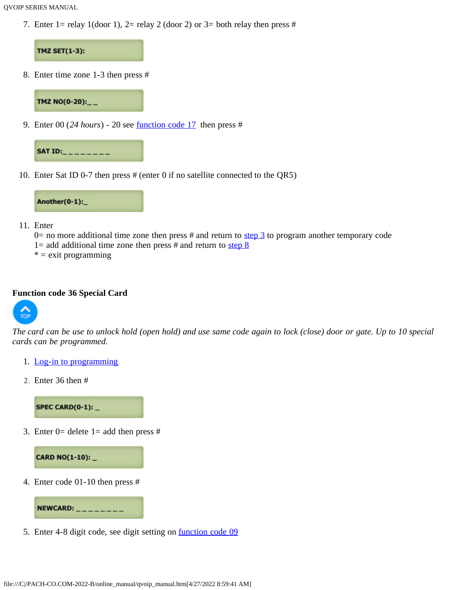7. Enter 1= relay 1(door 1), 2= relay 2 (door 2) or 3= both relay then press #



8. Enter time zone 1-3 then press #

TMZ NO(0-20):\_\_

9. Enter 00 (*24 hours*) - 20 see [function code 17](#page-14-0) then press #



10. Enter Sat ID 0-7 then press # (enter 0 if no satellite connected to the QR5)



- 11. Enter
	- $0=$  no more additional time zone then press # and return to [step 3](#page-21-2) to program another temporary code
	- 1= add additional time zone then press  $#$  and return to step  $8$
	- $* =$  exit programming

#### <span id="page-23-0"></span>**Function code 36 Special Card**



*The card can be use to unlock hold (open hold) and use same code again to lock (close) door or gate. Up to 10 special cards can be programmed.*

- 1. [Log-in to programming](#page-5-2)
- 2. Enter 36 then #

SPEC CARD(0-1):  $-$ 

<span id="page-23-1"></span>3. Enter  $0=$  delete  $1=$  add then press #



4. Enter code 01-10 then press #



5. Enter 4-8 digit code, see digit setting on **function code 09**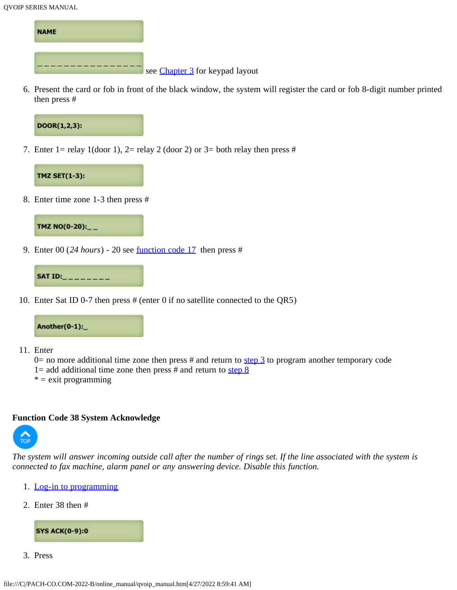

6. Present the card or fob in front of the black window, the system will register the card or fob 8-digit number printed then press #



7. Enter 1= relay 1(door 1), 2= relay 2 (door 2) or 3= both relay then press #



<span id="page-24-1"></span>8. Enter time zone 1-3 then press #



9. Enter 00 (*24 hours*) - 20 see [function code 17](#page-14-0) then press #



10. Enter Sat ID 0-7 then press # (enter 0 if no satellite connected to the QR5)



- 11. Enter
	- 0= no more additional time zone then press # and return to  $\frac{\text{step } 3}{\text{step } 3}$  to program another temporary code
	- 1= add additional time zone then press # and return to step  $\frac{8}{3}$
	- $* =$  exit programming

#### <span id="page-24-0"></span>**Function Code 38 System Acknowledge**



*The system will answer incoming outside call after the number of rings set. If the line associated with the system is connected to fax machine, alarm panel or any answering device. Disable this function.*

- 1. [Log-in to programming](#page-5-2)
- 2. Enter 38 then #



3. Press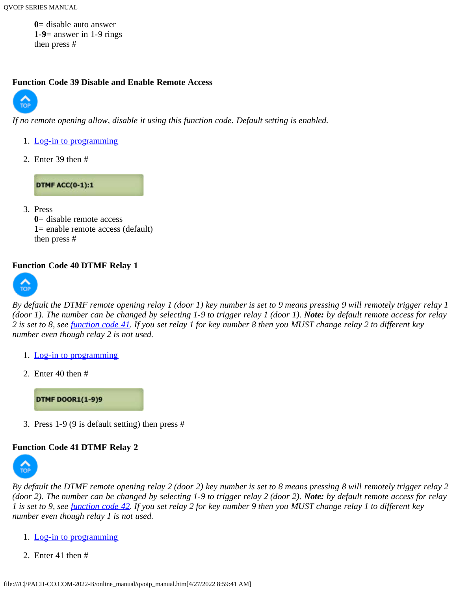**0**= disable auto answer **1-9**= answer in 1-9 rings then press #

#### <span id="page-25-0"></span>**[Functio](#page-0-1)n Code 39 Disable and Enable Remote Access**



*If no remote opening allow, disable it using this function code. Default setting is enabled.*

- 1. [Log-in to programming](#page-5-2)
- 2. Enter 39 then #

**DTMF ACC(0-1):1** 

3. Press **0**= disable remote access **1**= enable remote access (default) then press #

#### <span id="page-25-1"></span>**[Functio](#page-0-1)n Code 40 DTMF Relay 1**



*By default the DTMF remote opening relay 1 (door 1) key number is set to 9 means pressing 9 will remotely trigger relay 1 (door 1). The number can be changed by selecting 1-9 to trigger relay 1 (door 1). Note: by default remote access for relay 2 is set to 8, see [function code 41](#page-25-2). If you set relay 1 for key number 8 then you MUST change relay 2 to different key number even though relay 2 is not used.*

- 1. [Log-in to programming](#page-5-2)
- 2. Enter 40 then #

**DTMF DOOR1(1-9)9** 

3. Press 1-9 (9 is default setting) then press #

# <span id="page-25-2"></span>**[Functio](#page-0-1)n Code 41 DTMF Relay 2**



*By default the DTMF remote opening relay 2 (door 2) key number is set to 8 means pressing 8 will remotely trigger relay 2 (door 2). The number can be changed by selecting 1-9 to trigger relay 2 (door 2). Note: by default remote access for relay 1 is set to 9, see [function code 42](#page-26-0). If you set relay 2 for key number 9 then you MUST change relay 1 to different key number even though relay 1 is not used.*

- 1. [Log-in to programming](#page-5-2)
- 2. Enter 41 then #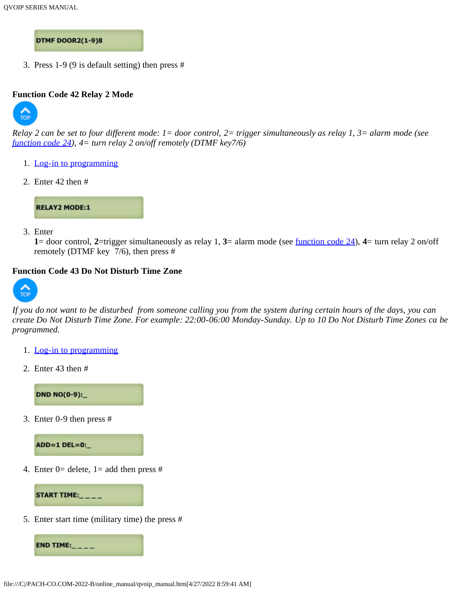**DTMF DOOR2(1-9)8** 

3. Press 1-9 (9 is default setting) then press #

#### <span id="page-26-0"></span>**[Functio](#page-0-1)n Code 42 Relay 2 Mode**



*Relay 2 can be set to four different mode: 1= door control, 2= trigger simultaneously as relay 1, 3= alarm mode (see [function code 24\)](#page-18-0), 4= turn relay 2 on/off remotely (DTMF key7/6)*

- 1. [Log-in to programming](#page-5-2)
- 2. Enter 42 then #



3. Enter

**1**= door control, **2**=trigger simultaneously as relay 1, **3**= alarm mode (see [function code 24\)](#page-18-0), **4**= turn relay 2 on/off remotely (DTMF key 7/6), then press #

#### <span id="page-26-1"></span>**Function Code 43 Do Not Disturb Time Zone**



*If you do not want to be disturbed from someone calling you from the system during certain hours of the days, you can create Do Not Disturb Time Zone. For example: 22:00-06:00 Monday-Sunday. Up to 10 Do Not Disturb Time Zones ca be programmed.*

- 1. [Log-in to programming](#page-5-2)
- 2. Enter 43 then #

**DND NO(0-9):\_** 

<span id="page-26-2"></span>3. Enter 0-9 then press #



4. Enter 0= delete, 1= add then press #

START TIME:\_\_\_\_

5. Enter start time (military time) the press #

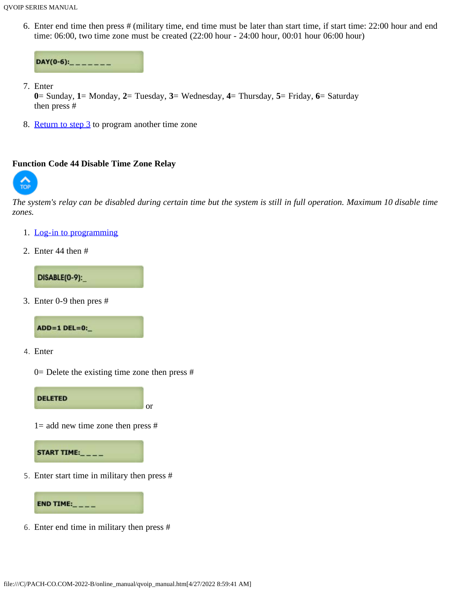6. Enter end time then press # (military time, end time must be later than start time, if start time: 22:00 hour and end time: 06:00, two time zone must be created (22:00 hour - 24:00 hour, 00:01 hour 06:00 hour)

```
DAY(0-6):<sub>------</sub>
```
7. Enter

**0**= Sunday, **1**= Monday, **2**= Tuesday, **3**= Wednesday, **4**= Thursday, **5**= Friday, **6**= Saturday then press #

8. [Return to step 3](#page-26-2) to program another time zone

#### <span id="page-27-0"></span>**Function Code 44 Disable Time Zone Relay**



*The system's relay can be disabled during certain time but the system is still in full operation. Maximum 10 disable time zones.*

- 1. [Log-in to programming](#page-5-2)
- 2. Enter 44 then #

DISABLE(0-9):

<span id="page-27-1"></span>3. Enter 0-9 then pres #



4. Enter

 $0=$  Delete the existing time zone then press #

or



 $1=$  add new time zone then press #



5. Enter start time in military then press #



6. Enter end time in military then press #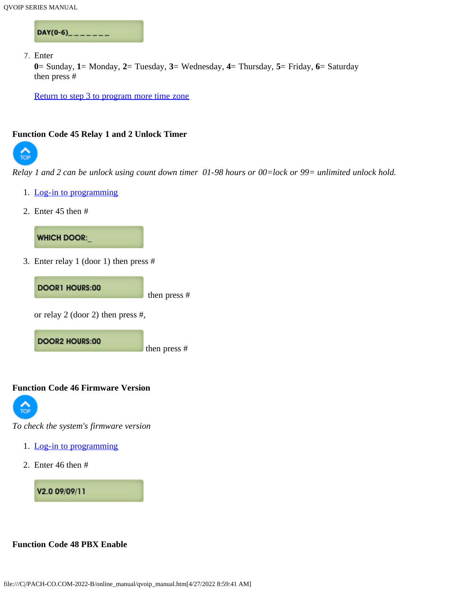$DAY(0-6)$ <sub>------</sub>

7. Enter

**0**= Sunday, **1**= Monday, **2**= Tuesday, **3**= Wednesday, **4**= Thursday, **5**= Friday, **6**= Saturday then press #

[Return to step 3 to program more time zone](#page-27-1)

#### <span id="page-28-0"></span>**Function Code 45 Relay 1 and 2 Unlock Timer**



*Relay 1 and 2 can be unlock using count down timer 01-98 hours or 00=lock or 99= unlimited unlock hold.*

- 1. [Log-in to programming](#page-5-2)
- 2. Enter 45 then #



3. Enter relay 1 (door 1) then press #



<span id="page-28-1"></span>**Function Code 46 Firmware Version**



*To check the system's firmware version*

- 1. [Log-in to programming](#page-5-2)
- 2. Enter 46 then #

V2.0 09/09/11

<span id="page-28-2"></span>**Function Code 48 PBX Enable**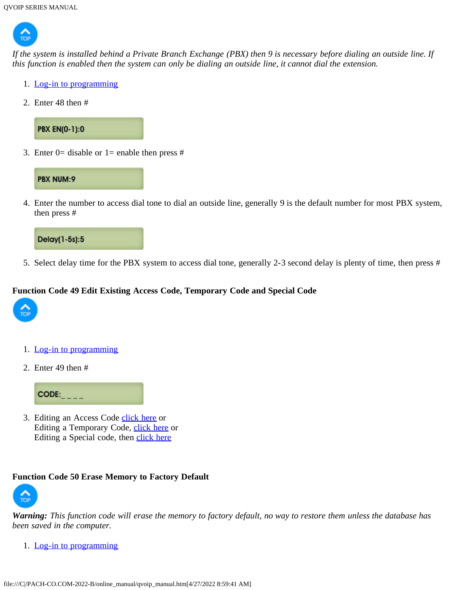

*If the system is installed behind a Private Branch Exchange (PBX) then 9 is necessary before dialing an outside line. If this function is enabled then the system can only be dialing an outside line, it cannot dial the extension.*

- 1. [Log-in to programming](#page-5-2)
- 2. Enter 48 then #



3. Enter 0= disable or 1= enable then press  $#$ 



4. Enter the number to access dial tone to dial an outside line, generally 9 is the default number for most PBX system, then press #



5. Select delay time for the PBX system to access dial tone, generally 2-3 second delay is plenty of time, then press #

#### <span id="page-29-0"></span>**Function Code 49 Edit Existing Access Code, Temporary Code and Special Code**



- 1. [Log-in to programming](#page-5-2)
- 2. Enter 49 then #



3. Editing an Access Code [click here](#page-8-2) or Editing a Temporary Code, [click here](#page-20-2) or Editing a Special code, then [click here](#page-21-3)

#### <span id="page-29-1"></span>**Function Code 50 Erase Memory to Factory Default**



*Warning: This function code will erase the memory to factory default, no way to restore them unless the database has been saved in the computer.*

1. [Log-in to programming](#page-5-2)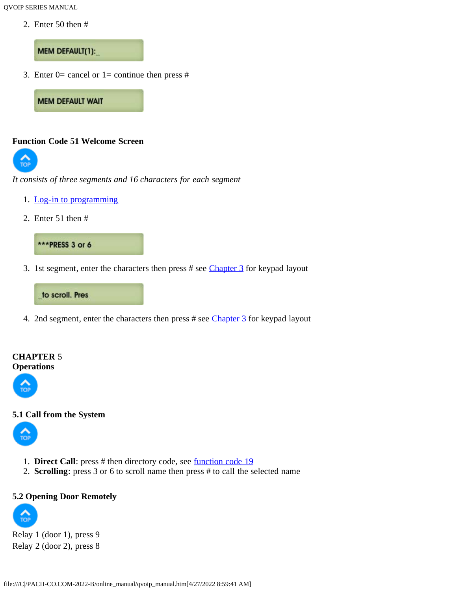2. Enter 50 then #

#### MEM DEFAULT(1):

3. Enter 0= cancel or 1= continue then press  $#$ 

**MEM DEFAULT WAIT** 

#### <span id="page-30-0"></span>**[Functio](#page-0-1)n Code 51 Welcome Screen**



*It consists of three segments and 16 characters for each segment*

- 1. [Log-in to programming](#page-5-2)
- 2. Enter 51 then #



3. 1st segment, enter the characters then press # see [Chapter 3](#page-5-0) for keypad layout

#### to scroll. Pres

4. 2nd segment, enter the characters then press # see [Chapter 3](#page-5-0) for keypad layout

#### <span id="page-30-1"></span>**CHAPTER** 5 **Operations**



# <span id="page-30-2"></span>**[5.1 Call](#page-0-1) from the System**



- 1. **Direct Call**: press # then directory code, see [function code 19](#page-16-0)
- 2. **Scrolling**: press 3 or 6 to scroll name then press # to call the selected name

# <span id="page-30-3"></span>**[5.2 Ope](#page-0-1)ning Door Remotely**



Relay 1 (door 1), press 9 Relay 2 (door 2), press 8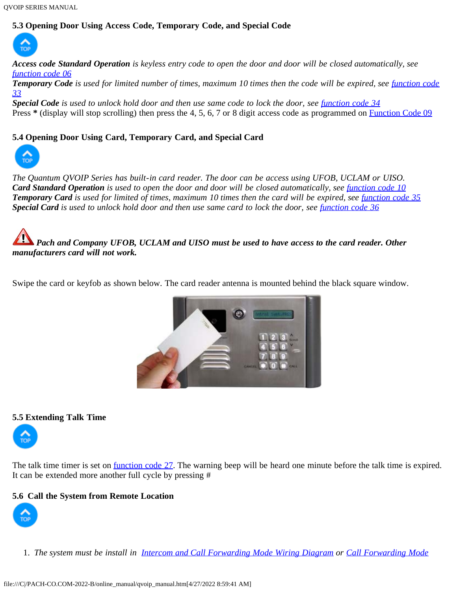# <span id="page-31-0"></span>**[5.3 Ope](#page-0-1)ning Door Using Access Code, Temporary Code, and Special Code**



*Access code Standard Operation is keyless entry code to open the door and door will be closed automatically, see [function code 06](#page-8-1)*

**Temporary Code** is used for limited number of times, maximum 10 times then the code will be expired, see *[function code](#page-19-2) [33](#page-19-2)*

*Special Code is used to unlock hold door and then use same code to lock the door, see [function code 34](#page-21-0)* Press \* (display will stop scrolling) then press the 4, 5, 6, 7 or 8 digit access code as programmed on [Function Code 09](#page-10-0)

# <span id="page-31-1"></span>**[5.4 Open](#page-0-1)ing Door Using Card, Temporary Card, and Special Card**



*The Quantum QVOIP Series has built-in card reader. The door can be access using UFOB, UCLAM or UISO. Card Standard Operation* is used to open the door and door will be closed automatically, see *[function code 10](#page-0-0)* **Temporary Card** is used for limited of times, maximum 10 times then the card will be expired, see *[function code 35](#page-22-0)* **Special Card** is used to unlock hold door and then use same card to lock the door, see *function code* 36

*Pach and Company UFOB, UCLAM and UISO must be used to have access to the card reader. Other manufacturers card will not work.*

Swipe the card or keyfob as shown below. The card reader antenna is mounted behind the black square window.



#### <span id="page-31-2"></span>**5.5 Extending Talk Time**



The talk time timer is set on <u>function code 27</u>. The warning beep will be heard one minute before the talk time is expired. It can be extended more another full cycle by pressing #

# **5.6 Call the System from Remote Location**



1. *The system must be install in [Intercom and Call Forwarding Mode Wiring Diagram](#page-0-0) or [Call Forwarding Mode](#page-0-0)*